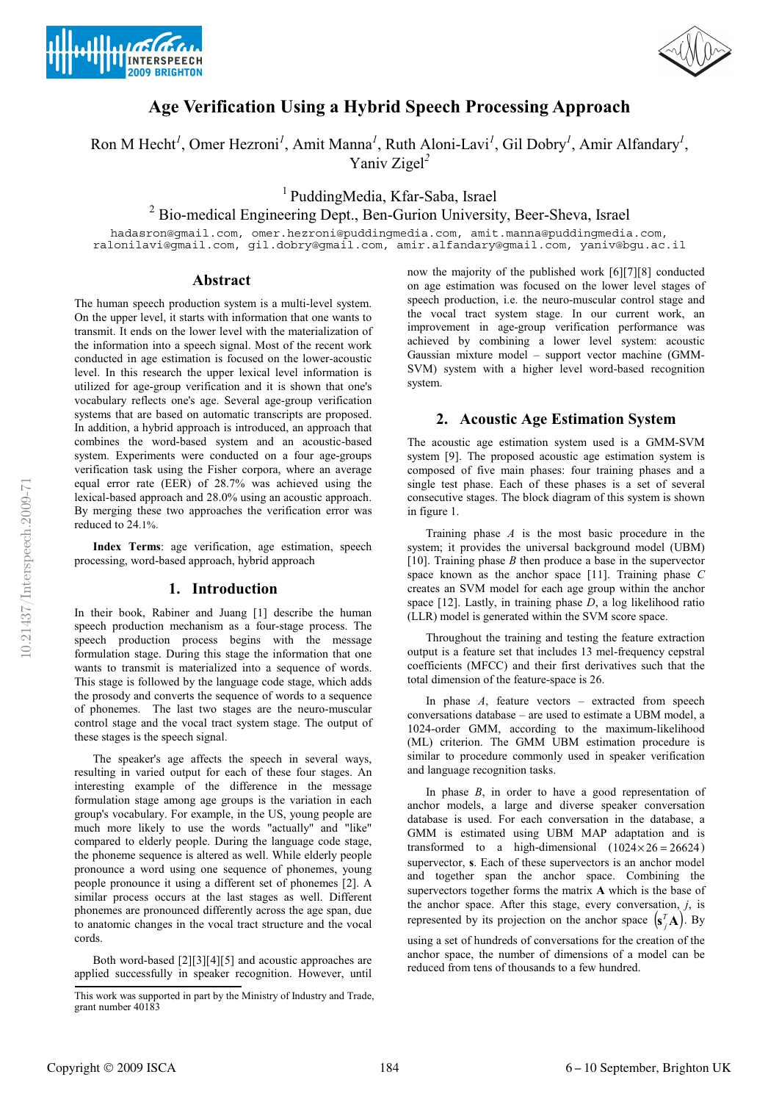



# **Age Verification Using a Hybrid Speech Processing Approach**

Ron M Hecht<sup>*l*</sup>, Omer Hezroni<sup>*l*</sup>, Amit Manna<sup>*l*</sup>, Ruth Aloni-Lavi<sup>*l*</sup>, Gil Dobry<sup>*l*</sup>, Amir Alfandary<sup>*l*</sup>, Yaniv Zigel*<sup>2</sup>*

1 PuddingMedia, Kfar-Saba, Israel

<sup>2</sup> Bio-medical Engineering Dept., Ben-Gurion University, Beer-Sheva, Israel

hadasron@gmail.com, omer.hezroni@puddingmedia.com, amit.manna@puddingmedia.com, ralonilavi@gmail.com, gil.dobry@gmail.com, amir.alfandary@gmail.com, yaniv@bgu.ac.il

## **Abstract**

The human speech production system is a multi-level system. On the upper level, it starts with information that one wants to transmit. It ends on the lower level with the materialization of the information into a speech signal. Most of the recent work conducted in age estimation is focused on the lower-acoustic level. In this research the upper lexical level information is utilized for age-group verification and it is shown that one's vocabulary reflects one's age. Several age-group verification systems that are based on automatic transcripts are proposed. In addition, a hybrid approach is introduced, an approach that combines the word-based system and an acoustic-based system. Experiments were conducted on a four age-groups verification task using the Fisher corpora, where an average equal error rate (EER) of 28.7% was achieved using the lexical-based approach and 28.0% using an acoustic approach. By merging these two approaches the verification error was reduced to 24.1%.

**Index Terms**: age verification, age estimation, speech processing, word-based approach, hybrid approach

#### **1. Introduction**

In their book, Rabiner and Juang [1] describe the human speech production mechanism as a four-stage process. The speech production process begins with the message formulation stage. During this stage the information that one wants to transmit is materialized into a sequence of words. This stage is followed by the language code stage, which adds the prosody and converts the sequence of words to a sequence of phonemes. The last two stages are the neuro-muscular control stage and the vocal tract system stage. The output of these stages is the speech signal.

The speaker's age affects the speech in several ways, resulting in varied output for each of these four stages. An interesting example of the difference in the message formulation stage among age groups is the variation in each group's vocabulary. For example, in the US, young people are much more likely to use the words "actually" and "like" compared to elderly people. During the language code stage, the phoneme sequence is altered as well. While elderly people pronounce a word using one sequence of phonemes, young people pronounce it using a different set of phonemes [2]. A similar process occurs at the last stages as well. Different phonemes are pronounced differently across the age span, due to anatomic changes in the vocal tract structure and the vocal cords.

Both word-based [2][3][4][5] and acoustic approaches are applied successfully in speaker recognition. However, until now the majority of the published work [6][7][8] conducted on age estimation was focused on the lower level stages of speech production, i.e. the neuro-muscular control stage and the vocal tract system stage. In our current work, an improvement in age-group verification performance was achieved by combining a lower level system: acoustic Gaussian mixture model – support vector machine (GMM-SVM) system with a higher level word-based recognition system.

## **2. Acoustic Age Estimation System**

The acoustic age estimation system used is a GMM-SVM system [9]. The proposed acoustic age estimation system is composed of five main phases: four training phases and a single test phase. Each of these phases is a set of several consecutive stages. The block diagram of this system is shown in figure 1.

Training phase *A* is the most basic procedure in the system; it provides the universal background model (UBM) [10]. Training phase *B* then produce a base in the supervector space known as the anchor space [11]. Training phase *C* creates an SVM model for each age group within the anchor space [12]. Lastly, in training phase *D*, a log likelihood ratio (LLR) model is generated within the SVM score space.

Throughout the training and testing the feature extraction output is a feature set that includes 13 mel-frequency cepstral coefficients (MFCC) and their first derivatives such that the total dimension of the feature-space is 26.

In phase *A*, feature vectors – extracted from speech conversations database – are used to estimate a UBM model, a 1024-order GMM, according to the maximum-likelihood (ML) criterion. The GMM UBM estimation procedure is similar to procedure commonly used in speaker verification and language recognition tasks.

In phase *B*, in order to have a good representation of anchor models, a large and diverse speaker conversation database is used. For each conversation in the database, a GMM is estimated using UBM MAP adaptation and is transformed to a high-dimensional  $(1024 \times 26 = 26624)$ supervector, **s**. Each of these supervectors is an anchor model and together span the anchor space. Combining the supervectors together forms the matrix **A** which is the base of the anchor space. After this stage, every conversation, *j*, is represented by its projection on the anchor space  $(\mathbf{s}_j^T \mathbf{A})$ . By

using a set of hundreds of conversations for the creation of the anchor space, the number of dimensions of a model can be reduced from tens of thousands to a few hundred.

This work was supported in part by the Ministry of Industry and Trade, grant number 40183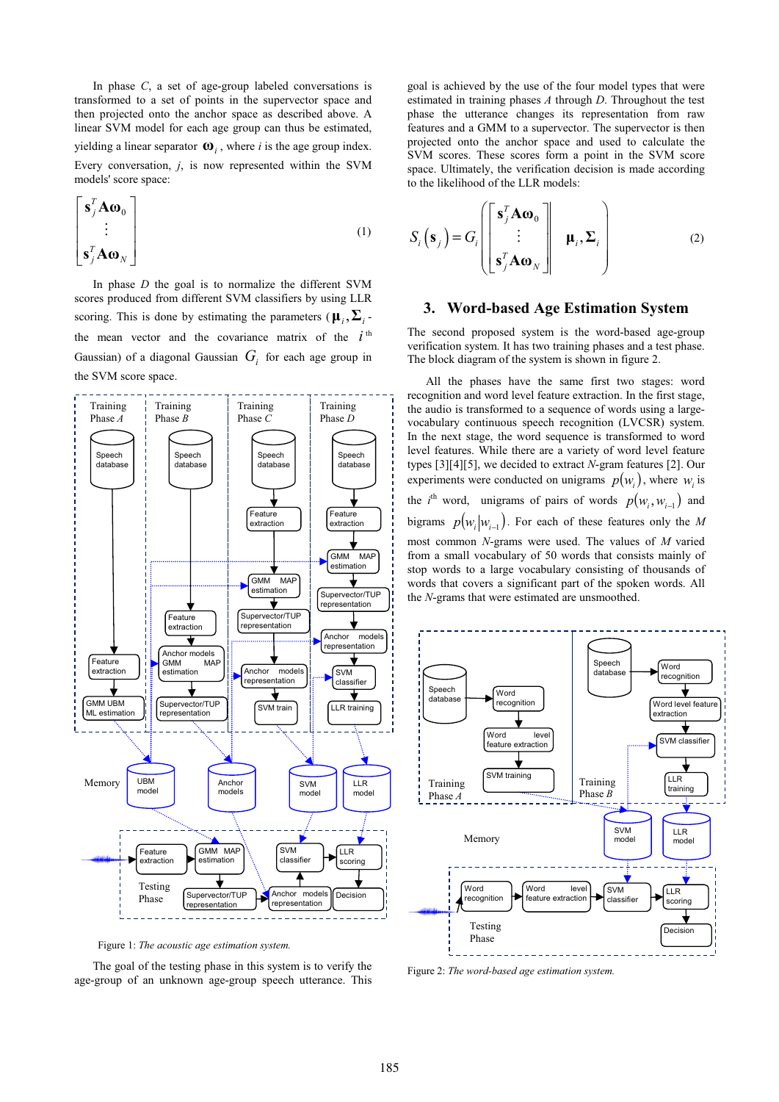In phase *C*, a set of age-group labeled conversations is transformed to a set of points in the supervector space and then projected onto the anchor space as described above. A linear SVM model for each age group can thus be estimated, yielding a linear separator  $\mathbf{\omega}_i$ , where *i* is the age group index. Every conversation, *j*, is now represented within the SVM models' score space:

$$
\begin{bmatrix}\n\mathbf{s}_j^T \mathbf{A} \mathbf{\omega}_0 \\
\vdots \\
\mathbf{s}_j^T \mathbf{A} \mathbf{\omega}_N\n\end{bmatrix} (1)
$$

In phase *D* the goal is to normalize the different SVM scores produced from different SVM classifiers by using LLR scoring. This is done by estimating the parameters ( $\mu_i$ ,  $\Sigma_i$ . the mean vector and the covariance matrix of the  $i<sup>th</sup>$ Gaussian) of a diagonal Gaussian  $G_i$  for each age group in the SVM score space.



Figure 1: *The acoustic age estimation system.* 

The goal of the testing phase in this system is to verify the age-group of an unknown age-group speech utterance. This goal is achieved by the use of the four model types that were estimated in training phases *A* through *D*. Throughout the test phase the utterance changes its representation from raw features and a GMM to a supervector. The supervector is then projected onto the anchor space and used to calculate the SVM scores. These scores form a point in the SVM score space. Ultimately, the verification decision is made according to the likelihood of the LLR models:

$$
S_i(\mathbf{s}_j) = G_i \begin{bmatrix} \mathbf{s}_j^T \mathbf{A} \mathbf{\omega}_0 \\ \vdots \\ \mathbf{s}_j^T \mathbf{A} \mathbf{\omega}_N \end{bmatrix} \quad \mathbf{\mu}_i, \mathbf{\Sigma}_i \qquad (2)
$$

# **3. Word-based Age Estimation System**

The second proposed system is the word-based age-group verification system. It has two training phases and a test phase. The block diagram of the system is shown in figure 2.

All the phases have the same first two stages: word recognition and word level feature extraction. In the first stage, the audio is transformed to a sequence of words using a largevocabulary continuous speech recognition (LVCSR) system. In the next stage, the word sequence is transformed to word level features. While there are a variety of word level feature types [3][4][5], we decided to extract *N*-gram features [2]. Our experiments were conducted on unigrams  $p(w_i)$ , where *w*<sub>i</sub> is the *i*<sup>th</sup> word, unigrams of pairs of words  $p(w_i, w_{i-1})$  and bigrams  $p(w_i | w_{i-1})$ . For each of these features only the *M* most common *N*-grams were used. The values of *M* varied from a small vocabulary of 50 words that consists mainly of stop words to a large vocabulary consisting of thousands of words that covers a significant part of the spoken words. All the *N*-grams that were estimated are unsmoothed.



Figure 2: *The word-based age estimation system.*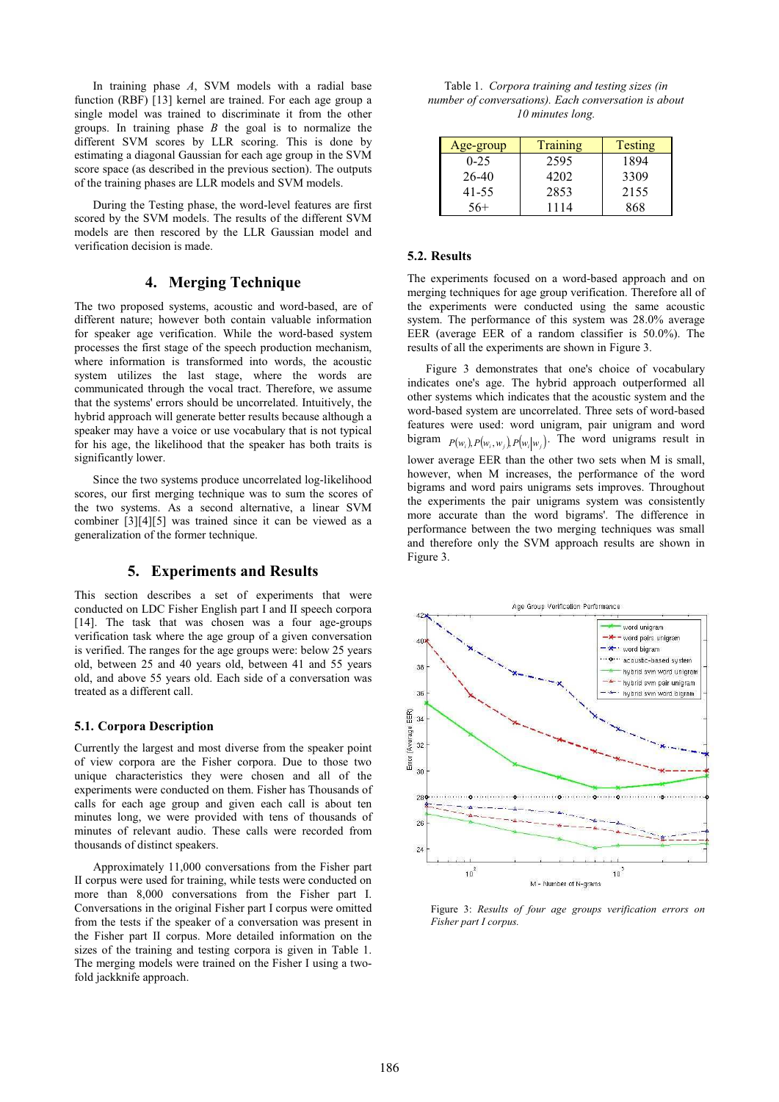In training phase *A*, SVM models with a radial base function (RBF) [13] kernel are trained. For each age group a single model was trained to discriminate it from the other groups. In training phase *B* the goal is to normalize the different SVM scores by LLR scoring. This is done by estimating a diagonal Gaussian for each age group in the SVM score space (as described in the previous section). The outputs of the training phases are LLR models and SVM models.

During the Testing phase, the word-level features are first scored by the SVM models. The results of the different SVM models are then rescored by the LLR Gaussian model and verification decision is made.

# **4. Merging Technique**

The two proposed systems, acoustic and word-based, are of different nature; however both contain valuable information for speaker age verification. While the word-based system processes the first stage of the speech production mechanism, where information is transformed into words, the acoustic system utilizes the last stage, where the words are communicated through the vocal tract. Therefore, we assume that the systems' errors should be uncorrelated. Intuitively, the hybrid approach will generate better results because although a speaker may have a voice or use vocabulary that is not typical for his age, the likelihood that the speaker has both traits is significantly lower.

Since the two systems produce uncorrelated log-likelihood scores, our first merging technique was to sum the scores of the two systems. As a second alternative, a linear SVM combiner [3][4][5] was trained since it can be viewed as a generalization of the former technique.

#### **5. Experiments and Results**

This section describes a set of experiments that were conducted on LDC Fisher English part I and II speech corpora [14]. The task that was chosen was a four age-groups verification task where the age group of a given conversation is verified. The ranges for the age groups were: below 25 years old, between 25 and 40 years old, between 41 and 55 years old, and above 55 years old. Each side of a conversation was treated as a different call.

#### **5.1. Corpora Description**

Currently the largest and most diverse from the speaker point of view corpora are the Fisher corpora. Due to those two unique characteristics they were chosen and all of the experiments were conducted on them. Fisher has Thousands of calls for each age group and given each call is about ten minutes long, we were provided with tens of thousands of minutes of relevant audio. These calls were recorded from thousands of distinct speakers.

Approximately 11,000 conversations from the Fisher part II corpus were used for training, while tests were conducted on more than 8,000 conversations from the Fisher part I. Conversations in the original Fisher part I corpus were omitted from the tests if the speaker of a conversation was present in the Fisher part II corpus. More detailed information on the sizes of the training and testing corpora is given in Table 1. The merging models were trained on the Fisher I using a twofold jackknife approach.

| Table 1. Corpora training and testing sizes (in      |
|------------------------------------------------------|
| number of conversations). Each conversation is about |
| 10 minutes long.                                     |

| Age-group | Training | <b>Testing</b> |
|-----------|----------|----------------|
| $0 - 25$  | 2595     | 1894           |
| 26-40     | 4202     | 3309           |
| 41-55     | 2853     | 2155           |
| $56+$     | 1114     | 868            |

#### **5.2. Results**

The experiments focused on a word-based approach and on merging techniques for age group verification. Therefore all of the experiments were conducted using the same acoustic system. The performance of this system was 28.0% average EER (average EER of a random classifier is 50.0%). The results of all the experiments are shown in Figure 3.

Figure 3 demonstrates that one's choice of vocabulary indicates one's age. The hybrid approach outperformed all other systems which indicates that the acoustic system and the word-based system are uncorrelated. Three sets of word-based features were used: word unigram, pair unigram and word bigram  $P(w_i)$ ,  $P(w_i, w_j)$ ,  $P(w_i|w_i)$ . The word unigrams result in lower average EER than the other two sets when M is small, however, when M increases, the performance of the word bigrams and word pairs unigrams sets improves. Throughout the experiments the pair unigrams system was consistently more accurate than the word bigrams'. The difference in performance between the two merging techniques was small and therefore only the SVM approach results are shown in Figure 3.



Figure 3: *Results of four age groups verification errors on Fisher part I corpus.*